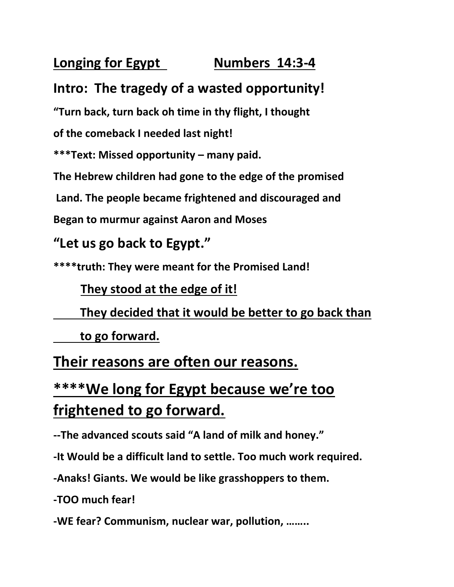### **Longing for Egypt Mumbers 14:3-4**

### **Intro: The tragedy of a wasted opportunity!**

**"Turn back, turn back oh time in thy flight, I thought**

**of the comeback I needed last night!**

**\*\*\*Text: Missed opportunity – many paid.**

**The Hebrew children had gone to the edge of the promised**

**Land. The people became frightened and discouraged and**

**Began to murmur against Aaron and Moses**

#### **"Let us go back to Egypt."**

**\*\*\*\*truth: They were meant for the Promised Land!**

#### **They stood at the edge of it!**

**They decided that it would be better to go back than** 

**to go forward.**

### **Their reasons are often our reasons.**

### **\*\*\*\*We long for Egypt because we're too frightened to go forward.**

**--The advanced scouts said "A land of milk and honey."**

**-It Would be a difficult land to settle. Too much work required.**

**-Anaks! Giants. We would be like grasshoppers to them.**

**-TOO much fear!**

**-WE fear? Communism, nuclear war, pollution, ……..**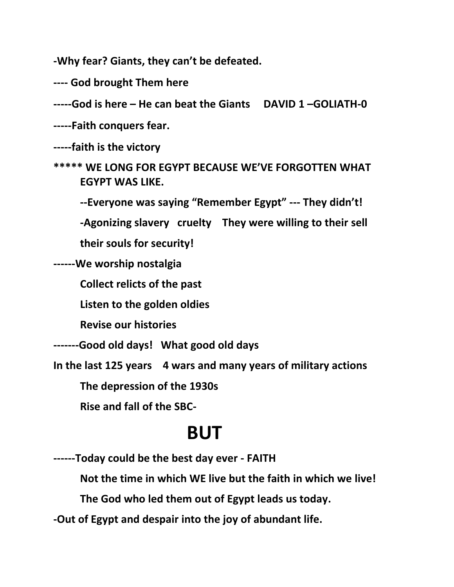**-Why fear? Giants, they can't be defeated.**

**---- God brought Them here**

**-----God is here – He can beat the Giants DAVID 1 –GOLIATH-0**

**-----Faith conquers fear.**

**-----faith is the victory**

**\*\*\*\*\* WE LONG FOR EGYPT BECAUSE WE'VE FORGOTTEN WHAT EGYPT WAS LIKE.**

**--Everyone was saying "Remember Egypt" --- They didn't!**

**-Agonizing slavery cruelty They were willing to their sell**

**their souls for security!**

**------We worship nostalgia** 

**Collect relicts of the past**

**Listen to the golden oldies**

**Revise our histories**

**-------Good old days! What good old days**

**In the last 125 years 4 wars and many years of military actions**

**The depression of the 1930s**

**Rise and fall of the SBC-**

### **BUT**

**------Today could be the best day ever - FAITH**

**Not the time in which WE live but the faith in which we live!**

**The God who led them out of Egypt leads us today.**

**-Out of Egypt and despair into the joy of abundant life.**